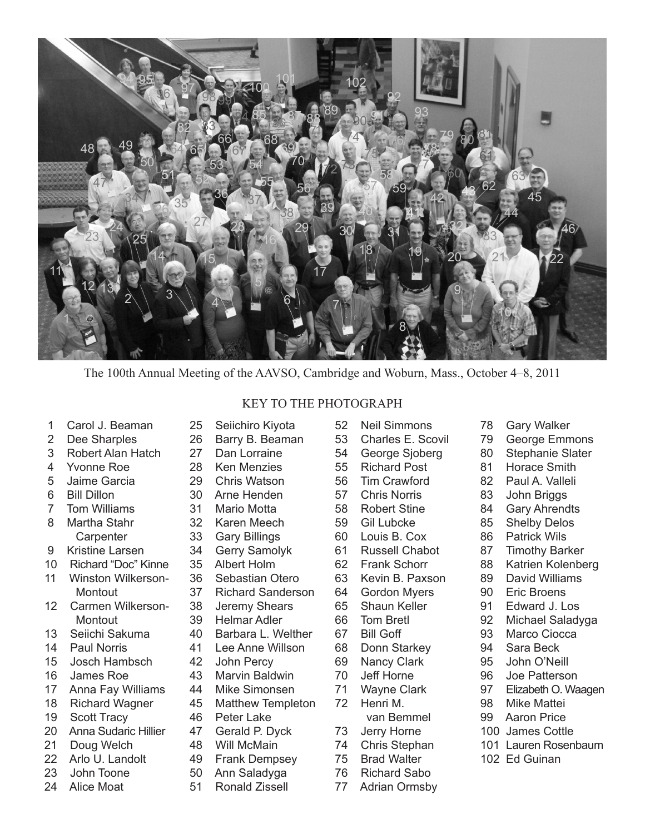

The 100th Annual Meeting of the AAVSO, Cambridge and Woburn, Mass., October 4–8, 2011

|  | Carol J. Beaman |  |
|--|-----------------|--|
|--|-----------------|--|

- 2 Dee Sharples
- 3 Robert Alan Hatch
- 4 Yvonne Roe
- 5 Jaime Garcia
- 6 Bill Dillon
- 7 Tom Williams
- 8 Martha Stahr **Carpenter**
- 9 Kristine Larsen
- 10 Richard "Doc" Kinne
- 11 Winston Wilkerson- **Montout**
- 12 Carmen Wilkerson- **Montout**
- 13 Seiichi Sakuma
- 14 Paul Norris
- 15 Josch Hambsch
- 16 James Roe
- 17 Anna Fay Williams
- 18 Richard Wagner
- 19 Scott Tracy
- 20 Anna Sudaric Hillier
- 21 Doug Welch
- 22 Arlo U. Landolt
- 23 John Toone
- 24 Alice Moat

## KEY TO THE PHOTOGRAPH

- 25 Seiichiro Kiyota
- 26 Barry B. Beaman
- 27 Dan Lorraine
- 28 Ken Menzies<br>29 Chris Watson
- Chris Watson
- 30 Arne Henden
- 31 Mario Motta
- 32 Karen Meech
- 33 Gary Billings
- 34 Gerry Samolyk
- 35 Albert Holm
- 36 Sebastian Otero
- 37 Richard Sanderson
- 38 Jeremy Shears
- 39 Helmar Adler
- 40 Barbara L. Welther
- 41 Lee Anne Willson
- 42 John Percy
- 43 Marvin Baldwin
- 44 Mike Simonsen
- 45 Matthew Templeton
- 46 Peter Lake
- 47 Gerald P. Dyck
- 48 Will McMain
- 49 Frank Dempsey
- 50 Ann Saladyga
- 51 Ronald Zissell
- 52 Neil Simmons
- 53 Charles E. Scovil
- 54 George Sjoberg
- 55 Richard Post
- 56 Tim Crawford
- 57 Chris Norris
- 58 Robert Stine
- 59 Gil Lubcke
- 60 Louis B. Cox
- 61 Russell Chabot
- 62 Frank Schorr
- 63 Kevin B. Paxson
- 64 Gordon Myers
- 65 Shaun Keller
- 66 Tom Bretl
- 67 Bill Goff
- 68 Donn Starkey
- 69 Nancy Clark
- 70 Jeff Horne
- 71 Wayne Clark
- 72 Henri M. van Bemmel
- 73 Jerry Horne
- 74 Chris Stephan
- 75 Brad Walter
- 76 Richard Sabo
- 77 Adrian Ormsby
- 78 Gary Walker
- 79 George Emmons
- 80 Stephanie Slater
- 
- 81 Horace Smith<br>82 Paul A. Valleli Paul A. Valleli
- 83 John Briggs
- 84 Gary Ahrendts
- 85 Shelby Delos
- 86 Patrick Wils
- 87 Timothy Barker
- 88 Katrien Kolenberg
- 89 David Williams
- 90 Eric Broens
- 91 Edward J. Los
- 92 Michael Saladyga
- 93 Marco Ciocca
- 94 Sara Beck
- 95 John O'Neill
- 96 Joe Patterson

 99 Aaron Price 100 James Cottle 101 Lauren Rosenbaum

102 Ed Guinan

 97 Elizabeth O. Waagen 98 Mike Mattei